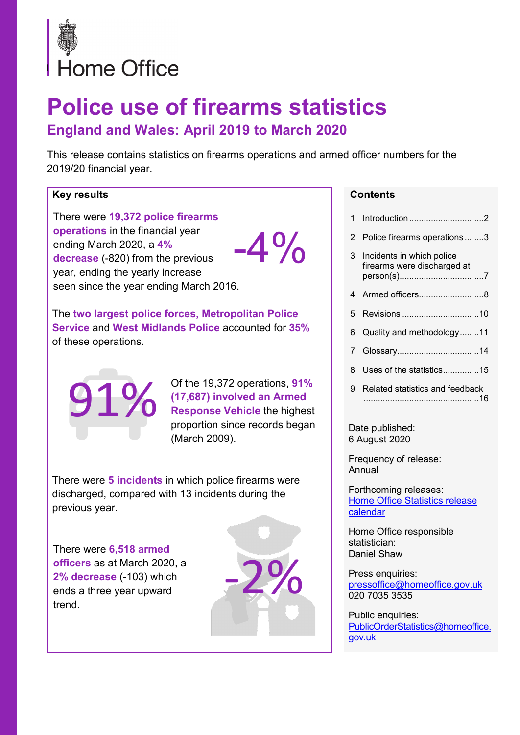

# **Police use of firearms statistics England and Wales: April 2019 to March 2020**

This release contains statistics on firearms operations and armed officer numbers for the 2019/20 financial year.

#### **Key results**

There were **19,372 police firearms operations** in the financial year ending March 2020, a **4% decrease** (-820) from the previous year, ending the yearly increase seen since the year ending March 2016.  $-4\%$ 

The **two largest police forces, Metropolitan Police Service** and **West Midlands Police** accounted for **35%** of these operations.



Of the 19,372 operations, **91% (17,687) involved an Armed Response Vehicle** the highest proportion since records began (March 2009).

There were **5 incidents** in which police firearms were discharged, compared with 13 incidents during the previous year.

There were **6,518 armed officers** as at March 2020, a **2% decrease** (-103) which ends a three year upward trend.



#### **Contents**

| 1.             | Introduction2                                            |
|----------------|----------------------------------------------------------|
| 2              | Police firearms operations3                              |
| 3              | Incidents in which police<br>firearms were discharged at |
|                | 4 Armed officers8                                        |
| 5              |                                                          |
| 6              | Quality and methodology11                                |
| $\overline{7}$ |                                                          |
| 8              | Uses of the statistics15                                 |
| 9              | Related statistics and feedback                          |

Date published: 6 August 2020

Frequency of release: Annual

Forthcoming releases: **Home Office Statistics release** [calendar](https://www.gov.uk/government/statistics/announcements?organisations%5B%5D=home-office)

Home Office responsible statistician: Daniel Shaw

Press enquiries: [pressoffice@homeoffice.gov.uk](mailto:pressoffice@homeoffice.gov.uk) 020 7035 3535

Public enquiries: [PublicOrderStatistics@homeoffice.](mailto:PublicOrderStatistics@homeoffice.gov.uk) [gov.uk](mailto:PublicOrderStatistics@homeoffice.gov.uk)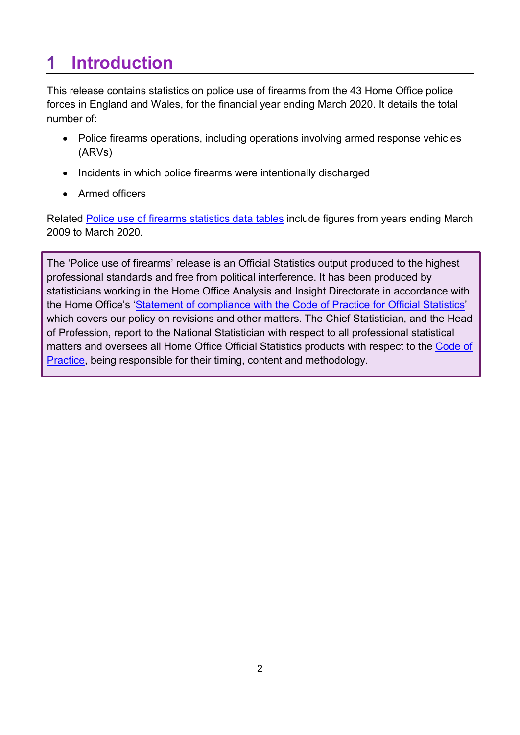## <span id="page-1-0"></span>**1 Introduction**

This release contains statistics on police use of firearms from the 43 Home Office police forces in England and Wales, for the financial year ending March 2020. It details the total number of:

- Police firearms operations, including operations involving armed response vehicles (ARVs)
- Incidents in which police firearms were intentionally discharged
- Armed officers

Related [Police use of firearms statistics data tables](https://www.gov.uk/government/statistics/announcements/police-use-of-firearms-statistics-england-and-wales-april-2019-to-march-2020) include figures from years ending March 2009 to March 2020.

The 'Police use of firearms' release is an Official Statistics output produced to the highest professional standards and free from political interference. It has been produced by statisticians working in the Home Office Analysis and Insight Directorate in accordance with the Home Office's ['Statement of compliance with the Code of Practice for Official Statistics'](https://www.gov.uk/government/publications/statement-of-compliance-with-code-of-practice-for-official-statistics) which covers our policy on revisions and other matters. The Chief Statistician, and the Head of Profession, report to the National Statistician with respect to all professional statistical matters and oversees all Home Office Official Statistics products with respect to the Code of [Practice,](https://code.statisticsauthority.gov.uk/the-code/) being responsible for their timing, content and methodology.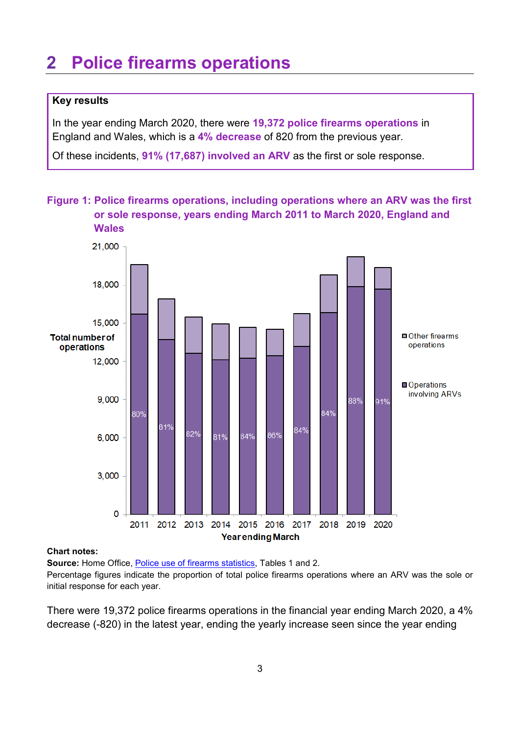### <span id="page-2-0"></span>**2 Police firearms operations**

#### **Key results**

In the year ending March 2020, there were **19,372 police firearms operations** in England and Wales, which is a **4% decrease** of 820 from the previous year.

Of these incidents, **91% (17,687) involved an ARV** as the first or sole response.

**Figure 1: Police firearms operations, including operations where an ARV was the first or sole response, years ending March 2011 to March 2020, England and Wales**



#### **Chart notes:**

Source: Home Office, [Police use of firearms statistics,](https://www.gov.uk/government/statistics/announcements/police-use-of-firearms-statistics-england-and-wales-april-2019-to-march-2020) Tables 1 and 2.

Percentage figures indicate the proportion of total police firearms operations where an ARV was the sole or initial response for each year.

There were 19,372 police firearms operations in the financial year ending March 2020, a 4% decrease (-820) in the latest year, ending the yearly increase seen since the year ending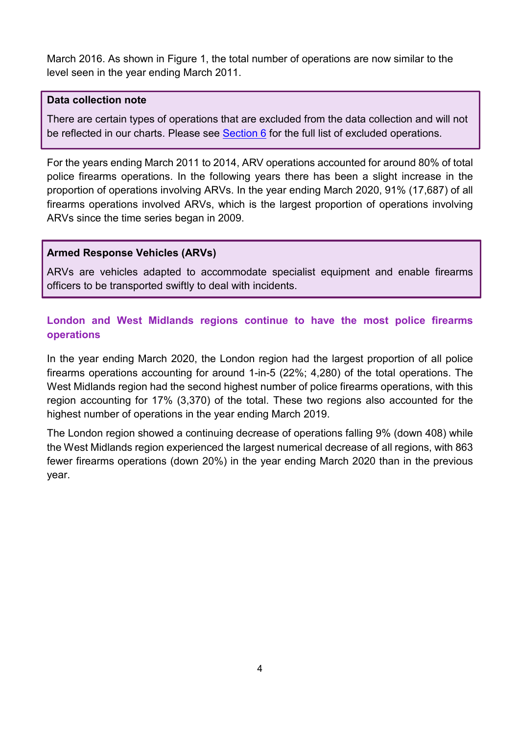March 2016. As shown in Figure 1, the total number of operations are now similar to the level seen in the year ending March 2011.

#### **Data collection note**

There are certain types of operations that are excluded from the data collection and will not be reflected in our charts. Please see [Section 6](#page-10-0) for the full list of excluded operations.

For the years ending March 2011 to 2014, ARV operations accounted for around 80% of total police firearms operations. In the following years there has been a slight increase in the proportion of operations involving ARVs. In the year ending March 2020, 91% (17,687) of all firearms operations involved ARVs, which is the largest proportion of operations involving ARVs since the time series began in 2009.

#### **Armed Response Vehicles (ARVs)**

ARVs are vehicles adapted to accommodate specialist equipment and enable firearms officers to be transported swiftly to deal with incidents.

### **London and West Midlands regions continue to have the most police firearms operations**

In the year ending March 2020, the London region had the largest proportion of all police firearms operations accounting for around 1-in-5 (22%; 4,280) of the total operations. The West Midlands region had the second highest number of police firearms operations, with this region accounting for 17% (3,370) of the total. These two regions also accounted for the highest number of operations in the year ending March 2019.

The London region showed a continuing decrease of operations falling 9% (down 408) while the West Midlands region experienced the largest numerical decrease of all regions, with 863 fewer firearms operations (down 20%) in the year ending March 2020 than in the previous year.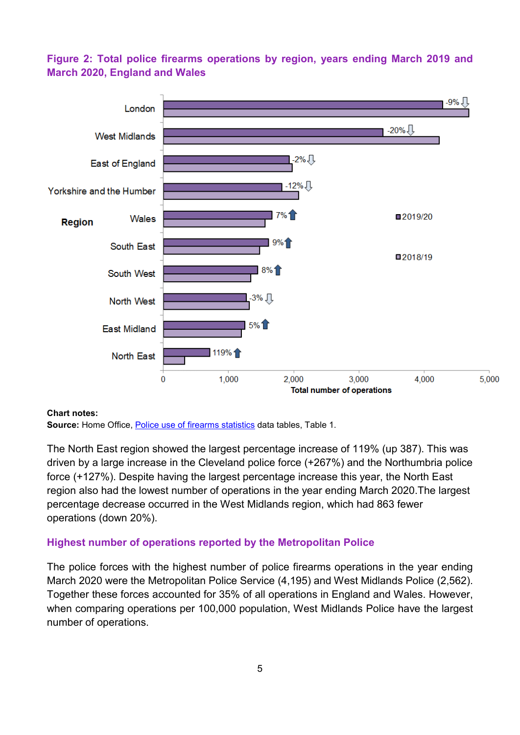#### **Figure 2: Total police firearms operations by region, years ending March 2019 and March 2020, England and Wales**



#### **Chart notes:**

Source: Home Office, [Police use of firearms statistics](https://www.gov.uk/government/statistics/announcements/police-use-of-firearms-statistics-england-and-wales-april-2019-to-march-2020) data tables, Table 1.

The North East region showed the largest percentage increase of 119% (up 387). This was driven by a large increase in the Cleveland police force (+267%) and the Northumbria police force (+127%). Despite having the largest percentage increase this year, the North East region also had the lowest number of operations in the year ending March 2020.The largest percentage decrease occurred in the West Midlands region, which had 863 fewer operations (down 20%).

#### **Highest number of operations reported by the Metropolitan Police**

The police forces with the highest number of police firearms operations in the year ending March 2020 were the Metropolitan Police Service (4,195) and West Midlands Police (2,562). Together these forces accounted for 35% of all operations in England and Wales. However, when comparing operations per 100,000 population, West Midlands Police have the largest number of operations.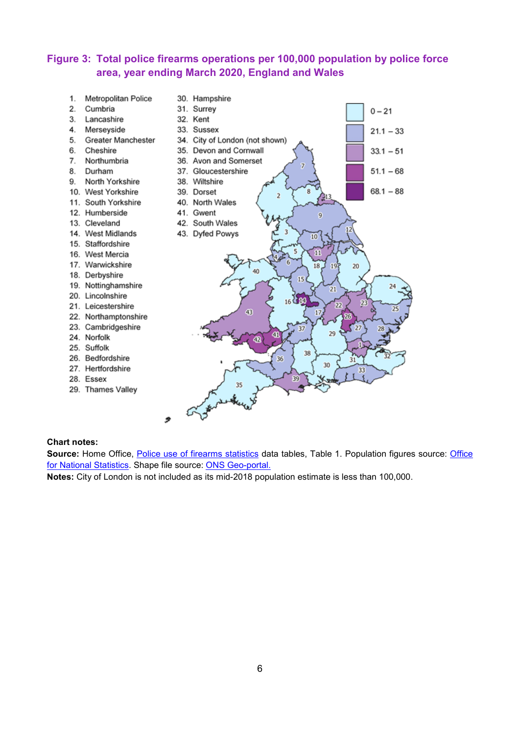#### **Figure 3: Total police firearms operations per 100,000 population by police force area, year ending March 2020, England and Wales**

1. Metropolitan Police 30. Hampshire 2. Cumbria 31. Surrey  $0 - 21$ 3. Lancashire 32. Kent 4. Merseyside 33. Sussex  $21.1 - 33$ 5. Greater Manchester 34. City of London (not shown) 6. Cheshire 35. Devon and Cornwall  $33.1 - 51$ 7. Northumbria 36. Avon and Somerset 8. Durham 37. Gloucestershire  $51.1 - 68$ 9. North Yorkshire 38. Wiltshire  $68.1 - 88$ 10. West Yorkshire 39. Dorset  $\overline{a}$ 11. South Yorkshire 40. North Wales 12. Humberside 41. Gwent 13. Cleveland 42. South Wales 14. West Midlands 43. Dyfed Powys 10 15. Staffordshire N 16. West Mercia 17. Warwickshire 18  $197$ 20 18. Derbyshire 19. Nottinghamshire 20. Lincolnshire 21. Leicestershire 43 22. Northamptonshire 23. Cambridgeshire 29 24. Norfolk 25. Suffolk 38 26. Bedfordshire 36 30 27. Hertfordshire 28. Essex 29. Thames Valley

#### **Chart notes:**

Source: Home Office, [Police use of firearms statistics](https://www.gov.uk/government/statistics/announcements/police-use-of-firearms-statistics-england-and-wales-april-2019-to-march-2020) data tables, Table 1. Population figures source: Office [for National Statistics.](https://www.ons.gov.uk/peoplepopulationandcommunity/populationandmigration/populationestimates) Shape file source: [ONS Geo-portal.](http://geoportal.statistics.gov.uk/datasets/police-force-areas-december-2016-full-clipped-boundaries-in-england-and-wales)

**Notes:** City of London is not included as its mid-2018 population estimate is less than 100,000.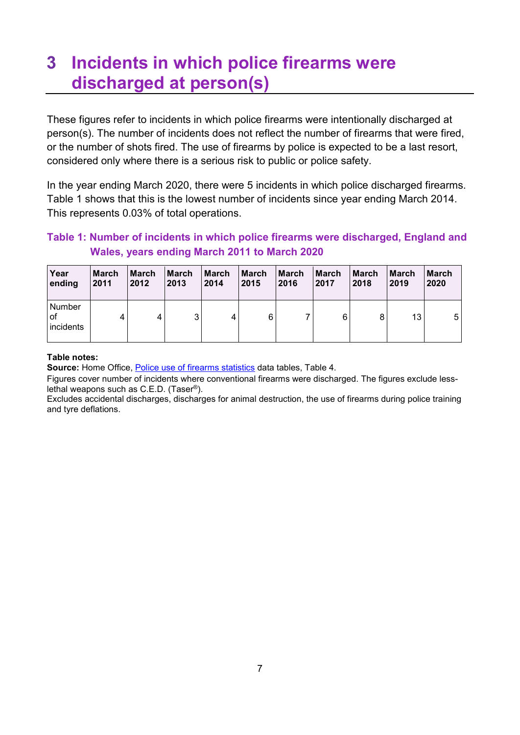### <span id="page-6-0"></span>**3 Incidents in which police firearms were discharged at person(s)**

These figures refer to incidents in which police firearms were intentionally discharged at person(s). The number of incidents does not reflect the number of firearms that were fired, or the number of shots fired. The use of firearms by police is expected to be a last resort, considered only where there is a serious risk to public or police safety.

In the year ending March 2020, there were 5 incidents in which police discharged firearms. Table 1 shows that this is the lowest number of incidents since year ending March 2014. This represents 0.03% of total operations.

#### **Table 1: Number of incidents in which police firearms were discharged, England and Wales, years ending March 2011 to March 2020**

| Year                      | March | <b>March</b> | <b>March</b> | March | March | <b>March</b> | <b>March</b> | <b>March</b> | <b>March</b> | <b>March</b> |
|---------------------------|-------|--------------|--------------|-------|-------|--------------|--------------|--------------|--------------|--------------|
| ending                    | 2011  | 2012         | 2013         | 2014  | 2015  | 2016         | 2017         | 2018         | 2019         | 2020         |
| Number<br>оf<br>incidents |       | 4            | ≏            | 4     | 6     |              | 6            | 8            | 13           | 5            |

#### **Table notes:**

Source: Home Office, [Police use of firearms statistics](https://www.gov.uk/government/statistics/announcements/police-use-of-firearms-statistics-england-and-wales-april-2019-to-march-2020) data tables, Table 4.

Figures cover number of incidents where conventional firearms were discharged. The figures exclude lesslethal weapons such as C.E.D. (Taser®).

Excludes accidental discharges, discharges for animal destruction, the use of firearms during police training and tyre deflations.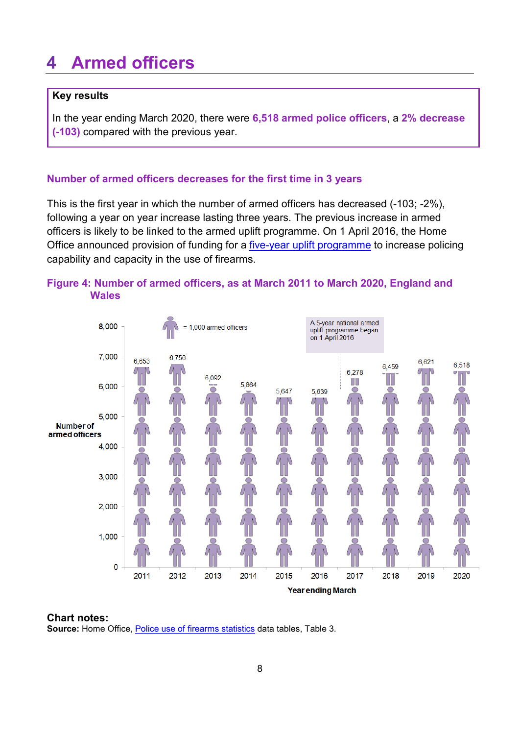### <span id="page-7-0"></span>**4 Armed officers**

#### **Key results**

In the year ending March 2020, there were **6,518 armed police officers**, a **2% decrease (-103)** compared with the previous year.

#### **Number of armed officers decreases for the first time in 3 years**

This is the first year in which the number of armed officers has decreased (-103; -2%), following a year on year increase lasting three years. The previous increase in armed officers is likely to be linked to the armed uplift programme. On 1 April 2016, the Home Office announced provision of funding for a [five-year uplift programme](https://news.npcc.police.uk/releases/extra-armed-police-to-deal-with-terrorist-threat) to increase policing capability and capacity in the use of firearms.

#### **Figure 4: Number of armed officers, as at March 2011 to March 2020, England and Wales**



#### **Chart notes:**

**Source:** Home Office, [Police use of firearms statistics](https://www.gov.uk/government/statistics/announcements/police-use-of-firearms-statistics-england-and-wales-april-2019-to-march-2020) data tables, Table 3.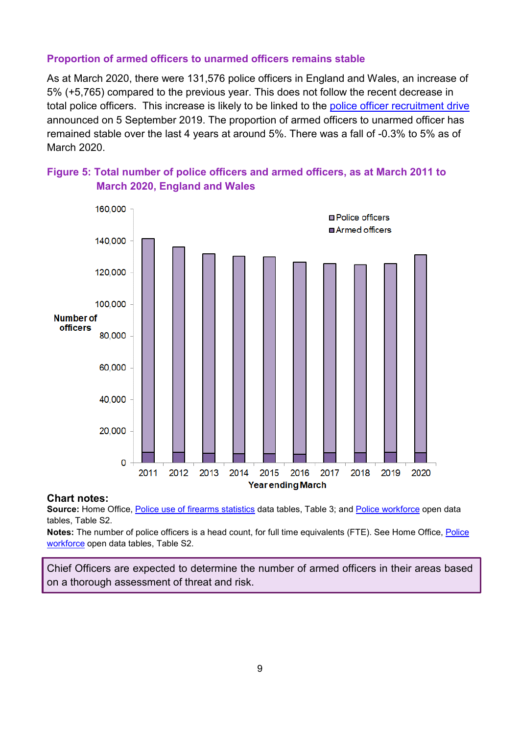#### **Proportion of armed officers to unarmed officers remains stable**

As at March 2020, there were 131,576 police officers in England and Wales, an increase of 5% (+5,765) compared to the previous year. This does not follow the recent decrease in total police officers. This increase is likely to be linked to the [police officer recruitment drive](https://www.gov.uk/government/news/national-campaign-to-recruit-20000-police-officers-launches-today) announced on 5 September 2019. The proportion of armed officers to unarmed officer has remained stable over the last 4 years at around 5%. There was a fall of -0.3% to 5% as of March 2020.





#### **Chart notes:**

**Source:** Home Office, [Police use of firearms statistics](https://www.gov.uk/government/statistics/announcements/police-use-of-firearms-statistics-england-and-wales-april-2019-to-march-2020) data tables, Table 3; and [Police workforce](https://www.gov.uk/government/statistics/police-workforce-england-and-wales-31-march-2020) open data tables, Table S2.

**Notes:** The number of police officers is a head count, for full time equivalents (FTE). See Home Office[, Police](https://www.gov.uk/government/statistics/police-workforce-england-and-wales-31-march-2020)  [workforce](https://www.gov.uk/government/statistics/police-workforce-england-and-wales-31-march-2020) open data tables, Table S2.

Chief Officers are expected to determine the number of armed officers in their areas based on a thorough assessment of threat and risk.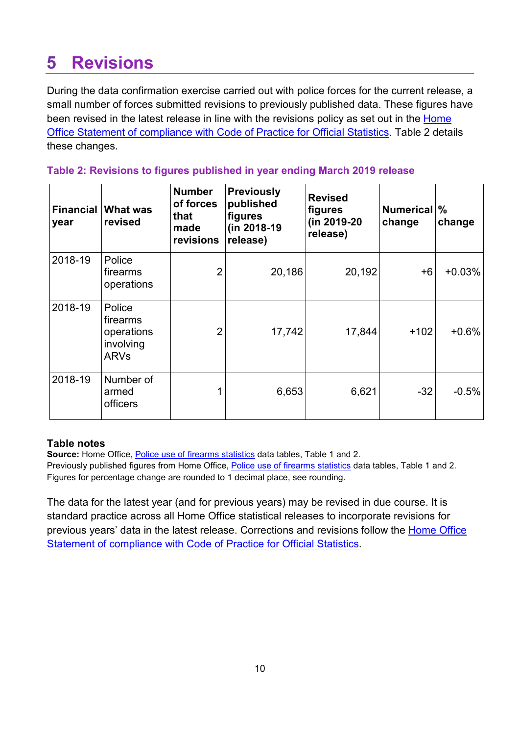## <span id="page-9-0"></span>**5 Revisions**

During the data confirmation exercise carried out with police forces for the current release, a small number of forces submitted revisions to previously published data. These figures have been revised in the latest release in line with the revisions policy as set out in the Home Office Statement [of compliance with Code of Practice for Official Statistics.](https://www.gov.uk/government/publications/statement-of-compliance-with-code-of-practice-for-official-statistics) Table 2 details these changes.

#### **Table 2: Revisions to figures published in year ending March 2019 release**

| year    | <b>Financial What was</b><br>revised                         | <b>Number</b><br>of forces<br>that<br>made<br>revisions | <b>Previously</b><br>published<br>figures<br>(in 2018-19<br>release) | <b>Revised</b><br>figures<br>(in 2019-20<br>release) | <b>Numerical</b><br>change | $\frac{9}{6}$<br>change |
|---------|--------------------------------------------------------------|---------------------------------------------------------|----------------------------------------------------------------------|------------------------------------------------------|----------------------------|-------------------------|
| 2018-19 | Police<br>firearms<br>operations                             | $\overline{2}$                                          | 20,186                                                               | 20,192                                               | $+6$                       | $+0.03%$                |
| 2018-19 | Police<br>firearms<br>operations<br>involving<br><b>ARVs</b> | $\overline{2}$                                          | 17,742                                                               | 17,844                                               | $+102$                     | $+0.6%$                 |
| 2018-19 | Number of<br>armed<br>officers                               |                                                         | 6,653                                                                | 6,621                                                | $-32$                      | $-0.5%$                 |

#### **Table notes**

**Source:** Home Office, [Police use of firearms statistics](https://www.gov.uk/government/statistics/announcements/police-use-of-firearms-statistics-england-and-wales-april-2019-to-march-2020) data tables, Table 1 and 2.

Previously published figures from Home Office, [Police use of firearms statistics](https://www.gov.uk/government/statistics/police-use-of-firearms-statistics-england-and-wales-april-2018-to-march-2019) data tables, Table 1 and 2. Figures for percentage change are rounded to 1 decimal place, see rounding.

The data for the latest year (and for previous years) may be revised in due course. It is standard practice across all Home Office statistical releases to incorporate revisions for previous years' data in the latest release. Corrections and revisions follow the [Home Office](https://www.gov.uk/government/publications/statement-of-compliance-with-code-of-practice-for-official-statistics)  [Statement of compliance with Code of Practice for Official Statistics.](https://www.gov.uk/government/publications/statement-of-compliance-with-code-of-practice-for-official-statistics)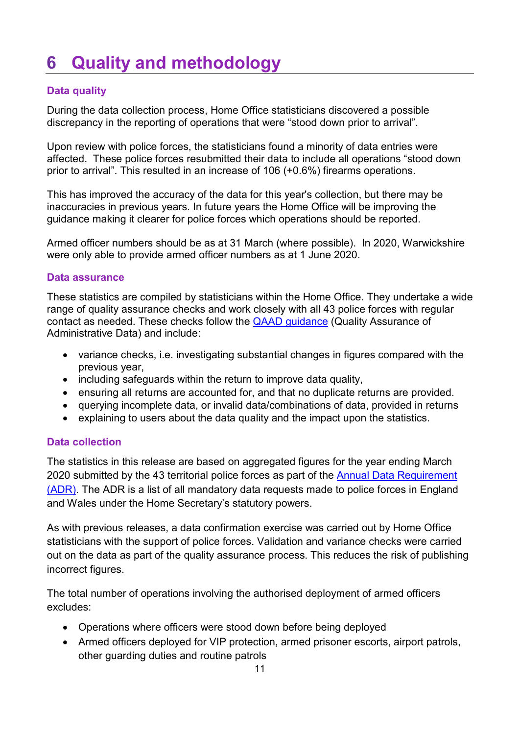### <span id="page-10-0"></span>**6 Quality and methodology**

### **Data quality**

During the data collection process, Home Office statisticians discovered a possible discrepancy in the reporting of operations that were "stood down prior to arrival".

Upon review with police forces, the statisticians found a minority of data entries were affected. These police forces resubmitted their data to include all operations "stood down prior to arrival". This resulted in an increase of 106 (+0.6%) firearms operations.

This has improved the accuracy of the data for this year's collection, but there may be inaccuracies in previous years. In future years the Home Office will be improving the guidance making it clearer for police forces which operations should be reported.

Armed officer numbers should be as at 31 March (where possible). In 2020, Warwickshire were only able to provide armed officer numbers as at 1 June 2020.

#### **Data assurance**

These statistics are compiled by statisticians within the Home Office. They undertake a wide range of quality assurance checks and work closely with all 43 police forces with regular contact as needed. These checks follow the [QAAD guidance](https://osr.statisticsauthority.gov.uk/wp-content/uploads/2015/12/images-settingthestandar_tcm97-44370.pdf) (Quality Assurance of Administrative Data) and include:

- variance checks, i.e. investigating substantial changes in figures compared with the previous year,
- including safeguards within the return to improve data quality,
- ensuring all returns are accounted for, and that no duplicate returns are provided.
- querying incomplete data, or invalid data/combinations of data, provided in returns
- explaining to users about the data quality and the impact upon the statistics.

#### **Data collection**

The statistics in this release are based on aggregated figures for the year ending March 2020 submitted by the 43 territorial police forces as part of the [Annual Data Requirement](https://www.gov.uk/government/publications/annual-data-requirement-from-police-forces-in-england-and-wales)  [\(ADR\).](https://www.gov.uk/government/publications/annual-data-requirement-from-police-forces-in-england-and-wales) The ADR is a list of all mandatory data requests made to police forces in England and Wales under the Home Secretary's statutory powers.

As with previous releases, a data confirmation exercise was carried out by Home Office statisticians with the support of police forces. Validation and variance checks were carried out on the data as part of the quality assurance process. This reduces the risk of publishing incorrect figures.

The total number of operations involving the authorised deployment of armed officers excludes:

- Operations where officers were stood down before being deployed
- Armed officers deployed for VIP protection, armed prisoner escorts, airport patrols, other guarding duties and routine patrols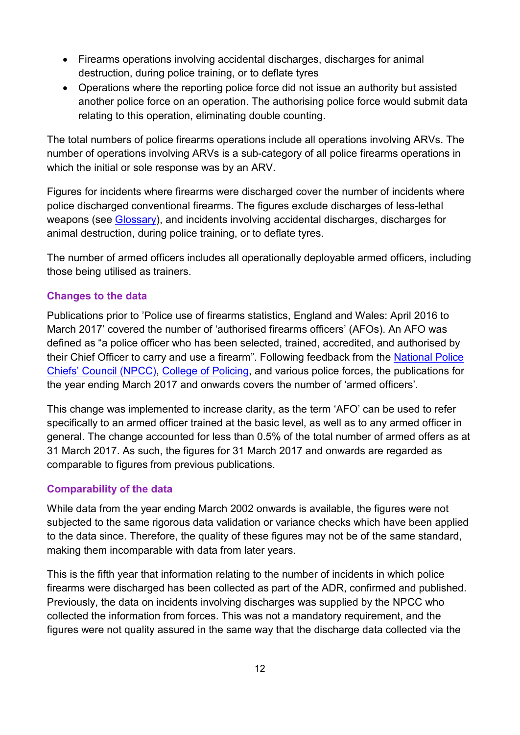- Firearms operations involving accidental discharges, discharges for animal destruction, during police training, or to deflate tyres
- Operations where the reporting police force did not issue an authority but assisted another police force on an operation. The authorising police force would submit data relating to this operation, eliminating double counting.

The total numbers of police firearms operations include all operations involving ARVs. The number of operations involving ARVs is a sub-category of all police firearms operations in which the initial or sole response was by an ARV.

Figures for incidents where firearms were discharged cover the number of incidents where police discharged conventional firearms. The figures exclude discharges of less-lethal weapons (see [Glossary\)](#page-13-1), and incidents involving accidental discharges, discharges for animal destruction, during police training, or to deflate tyres.

The number of armed officers includes all operationally deployable armed officers, including those being utilised as trainers.

#### **Changes to the data**

Publications prior to 'Police use of firearms statistics, England and Wales: April 2016 to March 2017' covered the number of 'authorised firearms officers' (AFOs). An AFO was defined as "a police officer who has been selected, trained, accredited, and authorised by their Chief Officer to carry and use a firearm". Following feedback from the National Police [Chiefs' Council \(NPCC\),](http://www.npcc.police.uk/) [College of Policing,](http://www.college.police.uk/Pages/Home.aspx) and various police forces, the publications for the year ending March 2017 and onwards covers the number of 'armed officers'.

This change was implemented to increase clarity, as the term 'AFO' can be used to refer specifically to an armed officer trained at the basic level, as well as to any armed officer in general. The change accounted for less than 0.5% of the total number of armed offers as at 31 March 2017. As such, the figures for 31 March 2017 and onwards are regarded as comparable to figures from previous publications.

#### **Comparability of the data**

While data from the year ending March 2002 onwards is available, the figures were not subjected to the same rigorous data validation or variance checks which have been applied to the data since. Therefore, the quality of these figures may not be of the same standard, making them incomparable with data from later years.

This is the fifth year that information relating to the number of incidents in which police firearms were discharged has been collected as part of the ADR, confirmed and published. Previously, the data on incidents involving discharges was supplied by the NPCC who collected the information from forces. This was not a mandatory requirement, and the figures were not quality assured in the same way that the discharge data collected via the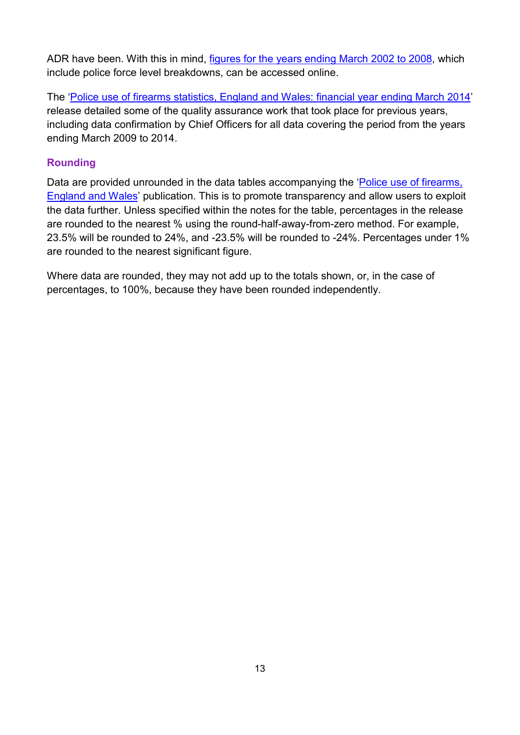ADR have been. With this in mind, [figures for the years ending March 2002 to 2008,](https://www.gov.uk/government/uploads/system/uploads/attachment_data/file/98275/police-firearms-use-2007-2008.pdf) which include police force level breakdowns, can be accessed online.

The ['Police use of firearms statistics, England and Wales: financial year ending March 2014'](https://www.gov.uk/government/publications/police-use-of-firearms-statistics-england-and-wales-financial-year-ending-31-march-2014/police-use-of-firearms-statistics-england-and-wales-financial-year-ending-31-march-2014) release detailed some of the quality assurance work that took place for previous years, including data confirmation by Chief Officers for all data covering the period from the years ending March 2009 to 2014.

#### **Rounding**

Data are provided unrounded in the data tables accompanying the 'Police use of firearms, [England and Wales'](https://www.gov.uk/government/collections/police-use-of-firearms-statistics) publication. This is to promote transparency and allow users to exploit the data further. Unless specified within the notes for the table, percentages in the release are rounded to the nearest % using the round-half-away-from-zero method. For example, 23.5% will be rounded to 24%, and -23.5% will be rounded to -24%. Percentages under 1% are rounded to the nearest significant figure.

Where data are rounded, they may not add up to the totals shown, or, in the case of percentages, to 100%, because they have been rounded independently.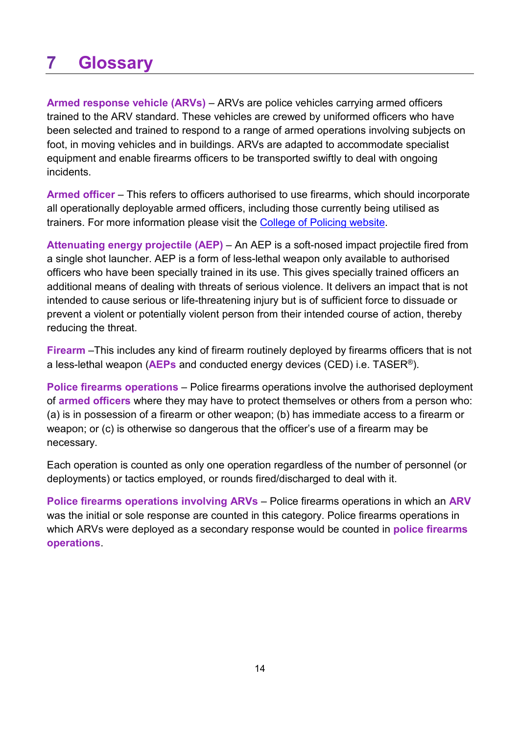### <span id="page-13-1"></span><span id="page-13-0"></span>**7 Glossary**

**Armed response vehicle (ARVs)** – ARVs are police vehicles carrying armed officers trained to the ARV standard. These vehicles are crewed by uniformed officers who have been selected and trained to respond to a range of armed operations involving subjects on foot, in moving vehicles and in buildings. ARVs are adapted to accommodate specialist equipment and enable firearms officers to be transported swiftly to deal with ongoing incidents.

**Armed officer** – This refers to officers authorised to use firearms, which should incorporate all operationally deployable armed officers, including those currently being utilised as trainers. For more information please visit the [College of Policing website.](https://www.app.college.police.uk/app-content/armed-policing/issue-and-carriage-of-firearms/#authorised-firearms-officer)

**Attenuating energy projectile (AEP)** – An AEP is a soft-nosed impact projectile fired from a single shot launcher. AEP is a form of less-lethal weapon only available to authorised officers who have been specially trained in its use. This gives specially trained officers an additional means of dealing with threats of serious violence. It delivers an impact that is not intended to cause serious or life-threatening injury but is of sufficient force to dissuade or prevent a violent or potentially violent person from their intended course of action, thereby reducing the threat.

**Firearm** –This includes any kind of firearm routinely deployed by firearms officers that is not a less-lethal weapon (**AEPs** and conducted energy devices (CED) i.e. TASER®).

**Police firearms operations** – Police firearms operations involve the authorised deployment of **armed officers** where they may have to protect themselves or others from a person who: (a) is in possession of a firearm or other weapon; (b) has immediate access to a firearm or weapon; or (c) is otherwise so dangerous that the officer's use of a firearm may be necessary.

Each operation is counted as only one operation regardless of the number of personnel (or deployments) or tactics employed, or rounds fired/discharged to deal with it.

**Police firearms operations involving ARVs** – Police firearms operations in which an **ARV** was the initial or sole response are counted in this category. Police firearms operations in which ARVs were deployed as a secondary response would be counted in **police firearms operations**.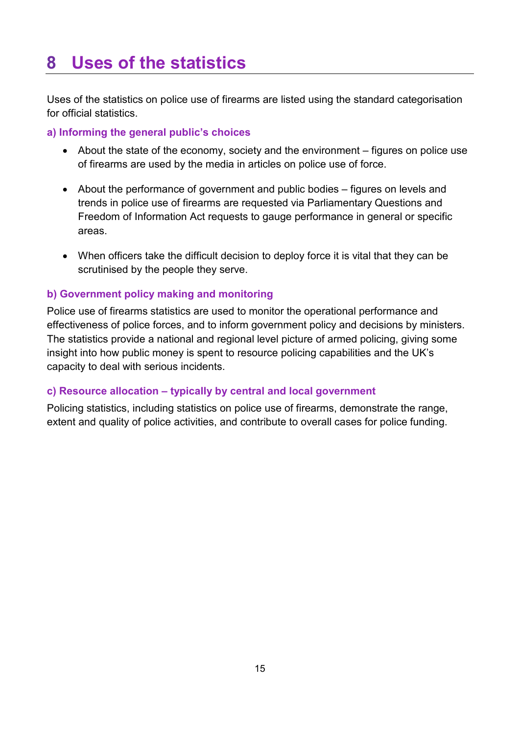### <span id="page-14-0"></span>**8 Uses of the statistics**

Uses of the statistics on police use of firearms are listed using the standard categorisation for official statistics.

#### **a) Informing the general public's choices**

- About the state of the economy, society and the environment figures on police use of firearms are used by the media in articles on police use of force.
- About the performance of government and public bodies figures on levels and trends in police use of firearms are requested via Parliamentary Questions and Freedom of Information Act requests to gauge performance in general or specific areas.
- When officers take the difficult decision to deploy force it is vital that they can be scrutinised by the people they serve.

#### **b) Government policy making and monitoring**

Police use of firearms statistics are used to monitor the operational performance and effectiveness of police forces, and to inform government policy and decisions by ministers. The statistics provide a national and regional level picture of armed policing, giving some insight into how public money is spent to resource policing capabilities and the UK's capacity to deal with serious incidents.

#### **c) Resource allocation – typically by central and local government**

Policing statistics, including statistics on police use of firearms, demonstrate the range, extent and quality of police activities, and contribute to overall cases for police funding.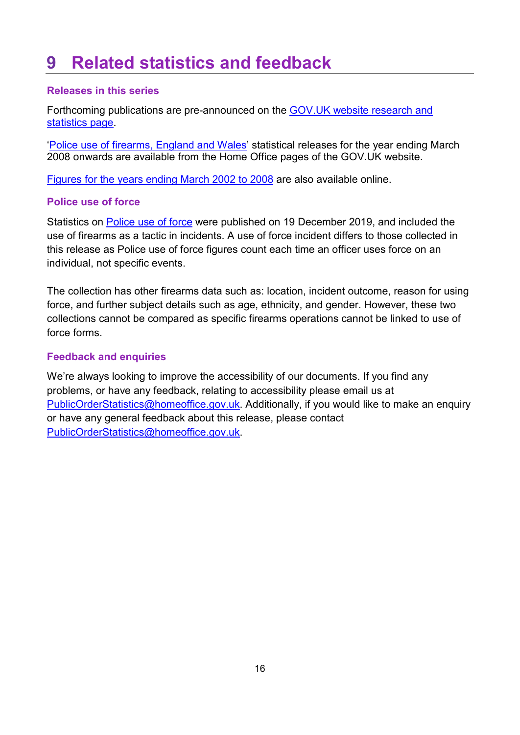### <span id="page-15-0"></span>**9 Related statistics and feedback**

#### **Releases in this series**

Forthcoming publications are pre-announced on the [GOV.UK website research and](https://www.gov.uk/government/statistics/announcements)  [statistics page.](https://www.gov.uk/government/statistics/announcements)

['Police use of firearms, England and Wales'](https://www.gov.uk/government/collections/police-use-of-firearms-statistics) statistical releases for the year ending March 2008 onwards are available from the Home Office pages of the GOV.UK website.

[Figures for the years ending March 2002 to 2008](https://www.gov.uk/government/uploads/system/uploads/attachment_data/file/98275/police-firearms-use-2007-2008.pdf) are also available online.

#### **Police use of force**

Statistics on [Police use of force](https://www.gov.uk/government/statistics/police-use-of-force-statistics-england-and-wales-april-2018-to-march-2019) were published on 19 December 2019, and included the use of firearms as a tactic in incidents. A use of force incident differs to those collected in this release as Police use of force figures count each time an officer uses force on an individual, not specific events.

The collection has other firearms data such as: location, incident outcome, reason for using force, and further subject details such as age, ethnicity, and gender. However, these two collections cannot be compared as specific firearms operations cannot be linked to use of force forms.

#### **Feedback and enquiries**

We're always looking to improve the accessibility of our documents. If you find any problems, or have any feedback, relating to accessibility please email us at [PublicOrderStatistics@homeoffice.gov.uk.](mailto:PublicOrderStatistics@homeoffice.gov.uk) Additionally, if you would like to make an enquiry or have any general feedback about this release, please contact [PublicOrderStatistics@homeoffice.gov.uk.](mailto:PublicOrderStatistics@homeoffice.gov.uk)